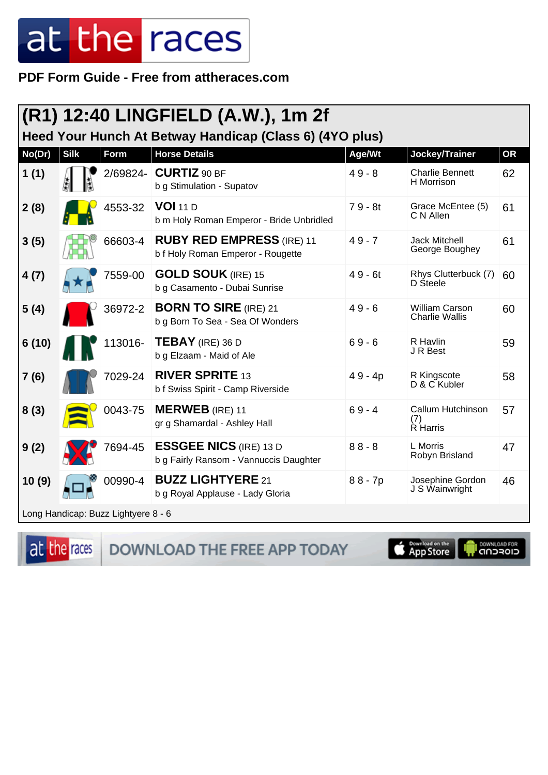PDF Form Guide - Free from attheraces.com

|        |             |                                     | (R1) 12:40 LINGFIELD (A.W.), 1m 2f                                      |           |                                         |           |
|--------|-------------|-------------------------------------|-------------------------------------------------------------------------|-----------|-----------------------------------------|-----------|
|        |             |                                     | Heed Your Hunch At Betway Handicap (Class 6) (4YO plus)                 |           |                                         |           |
| No(Dr) | <b>Silk</b> | <b>Form</b>                         | <b>Horse Details</b>                                                    | Age/Wt    | Jockey/Trainer                          | <b>OR</b> |
| 1(1)   |             | 2/69824-                            | <b>CURTIZ 90 BF</b><br>b g Stimulation - Supatov                        | $49 - 8$  | <b>Charlie Bennett</b><br>H Morrison    | 62        |
| 2(8)   |             | 4553-32                             | <b>VOI 11 D</b><br>b m Holy Roman Emperor - Bride Unbridled             | $79 - 8t$ | Grace McEntee (5)<br>C N Allen          | 61        |
| 3(5)   |             | 66603-4                             | <b>RUBY RED EMPRESS (IRE) 11</b><br>b f Holy Roman Emperor - Rougette   | $49 - 7$  | <b>Jack Mitchell</b><br>George Boughey  | 61        |
| 4(7)   |             | 7559-00                             | <b>GOLD SOUK (IRE) 15</b><br>b g Casamento - Dubai Sunrise              | $49 - 6t$ | Rhys Clutterbuck (7)<br>D Steele        | 60        |
| 5(4)   |             | 36972-2                             | <b>BORN TO SIRE (IRE) 21</b><br>b g Born To Sea - Sea Of Wonders        | $49 - 6$  | William Carson<br><b>Charlie Wallis</b> | 60        |
| 6(10)  |             | 113016-                             | <b>TEBAY</b> (IRE) 36 D<br>b g Elzaam - Maid of Ale                     | $69 - 6$  | R Havlin<br>J R Best                    | 59        |
| 7(6)   |             | 7029-24                             | <b>RIVER SPRITE 13</b><br>b f Swiss Spirit - Camp Riverside             | $49 - 4p$ | R Kingscote<br>D & C Kubler             | 58        |
| 8(3)   |             | 0043-75                             | <b>MERWEB</b> (IRE) 11<br>gr g Shamardal - Ashley Hall                  | $69 - 4$  | Callum Hutchinson<br>(7)<br>R Harris    | 57        |
| 9(2)   |             | 7694-45                             | <b>ESSGEE NICS (IRE) 13 D</b><br>b g Fairly Ransom - Vannuccis Daughter | $88 - 8$  | L Morris<br>Robyn Brisland              | 47        |
| 10(9)  |             | 00990-4                             | <b>BUZZ LIGHTYERE 21</b><br>b g Royal Applause - Lady Gloria            | $88 - 7p$ | Josephine Gordon<br>J S Wainwright      | 46        |
|        |             | Long Handicap: Buzz Lightyere 8 - 6 |                                                                         |           |                                         |           |

at the races

DOWNLOAD THE FREE APP TODAY

App Store Г

**OOWNLOAD FOR**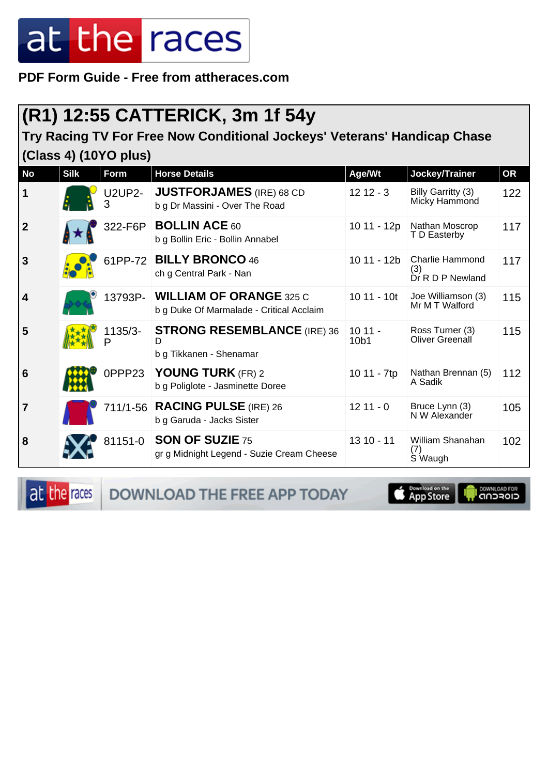**PDF Form Guide - Free from attheraces.com**

#### **(R1) 12:55 CATTERICK, 3m 1f 54y**

#### **Try Racing TV For Free Now Conditional Jockeys' Veterans' Handicap Chase (Class 4) (10YO plus)**

| <b>No</b>               | <b>Silk</b> | Form               | <b>Horse Details</b>                                                       | Age/Wt           | Jockey/Trainer                             | <b>OR</b> |
|-------------------------|-------------|--------------------|----------------------------------------------------------------------------|------------------|--------------------------------------------|-----------|
| $\mathbf 1$             |             | <b>U2UP2-</b><br>3 | <b>JUSTFORJAMES</b> (IRE) 68 CD<br>b g Dr Massini - Over The Road          | $1212 - 3$       | Billy Garritty (3)<br>Micky Hammond        | 122       |
| $\boldsymbol{2}$        |             | 322-F6P            | <b>BOLLIN ACE 60</b><br>b g Bollin Eric - Bollin Annabel                   | 10 11 - 12p      | Nathan Moscrop<br>T D Easterby             | 117       |
| $\overline{3}$          |             |                    | 61PP-72 BILLY BRONCO 46<br>ch g Central Park - Nan                         | 10 11 - 12b      | Charlie Hammond<br>(3)<br>Dr R D P Newland | 117       |
| $\overline{\mathbf{4}}$ |             | 13793P-            | <b>WILLIAM OF ORANGE 325 C</b><br>b g Duke Of Marmalade - Critical Acclaim | $1011 - 10t$     | Joe Williamson (3)<br>Mr M T Walford       | 115       |
| 5                       |             | 1135/3-<br>P       | <b>STRONG RESEMBLANCE (IRE) 36</b><br>D<br>b g Tikkanen - Shenamar         | $1011 -$<br>10b1 | Ross Turner (3)<br><b>Oliver Greenall</b>  | 115       |
| $6\phantom{1}6$         |             | 0PPP23             | YOUNG TURK (FR) 2<br>b g Poliglote - Jasminette Doree                      | 10 11 - 7tp      | Nathan Brennan (5)<br>A Sadik              | 112       |
| $\overline{7}$          |             |                    | 711/1-56 <b>RACING PULSE</b> (IRE) 26<br>b g Garuda - Jacks Sister         | $1211 - 0$       | Bruce Lynn (3)<br>N W Alexander            | 105       |
| 8                       |             |                    | 81151-0 SON OF SUZIE 75<br>gr g Midnight Legend - Suzie Cream Cheese       | $1310 - 11$      | William Shanahan<br>S Waugh                | 102       |

at the races DOWNLOAD THE FREE APP TODAY

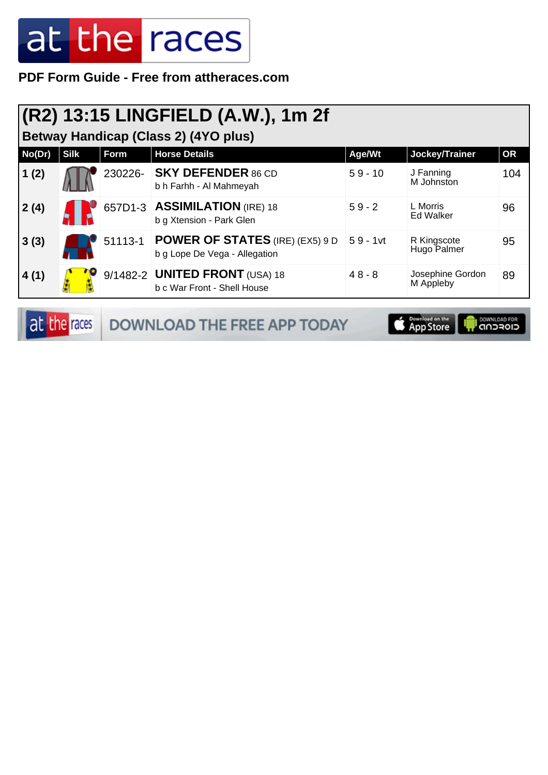**PDF Form Guide - Free from attheraces.com**

| <b>Betway Handicap (Class 2) (4YO plus)</b> |             |      |                                                                                 |            |                               |           |
|---------------------------------------------|-------------|------|---------------------------------------------------------------------------------|------------|-------------------------------|-----------|
| No(Dr)                                      | <b>Silk</b> | Form | <b>Horse Details</b>                                                            | Age/Wt     | Jockey/Trainer                | <b>OR</b> |
| (1(2))                                      |             |      | 230226- SKY DEFENDER 86 CD<br>b h Farhh - Al Mahmeyah                           | $59 - 10$  | J Fanning<br>M Johnston       | 104       |
| 2(4)                                        |             |      | 657D1-3   ASSIMILATION (IRE) 18<br>b g Xtension - Park Glen                     | $59 - 2$   | L Morris<br><b>Ed Walker</b>  | 96        |
| 3(3)                                        |             |      | 51113-1 <b>POWER OF STATES</b> (IRE) (EX5) 9 D<br>b g Lope De Vega - Allegation | $59 - 1vt$ | R Kingscote<br>Hugo Palmer    | 95        |
| 4(1)                                        |             |      | 9/1482-2 <b>UNITED FRONT</b> (USA) 18<br>b c War Front - Shell House            | $48 - 8$   | Josephine Gordon<br>M Appleby | 89        |

**OWNLOAD FOR** 

|  | <b>at the races</b> DOWNLOAD THE FREE APP TODAY | <b>Example 3</b> App Store |
|--|-------------------------------------------------|----------------------------|
|--|-------------------------------------------------|----------------------------|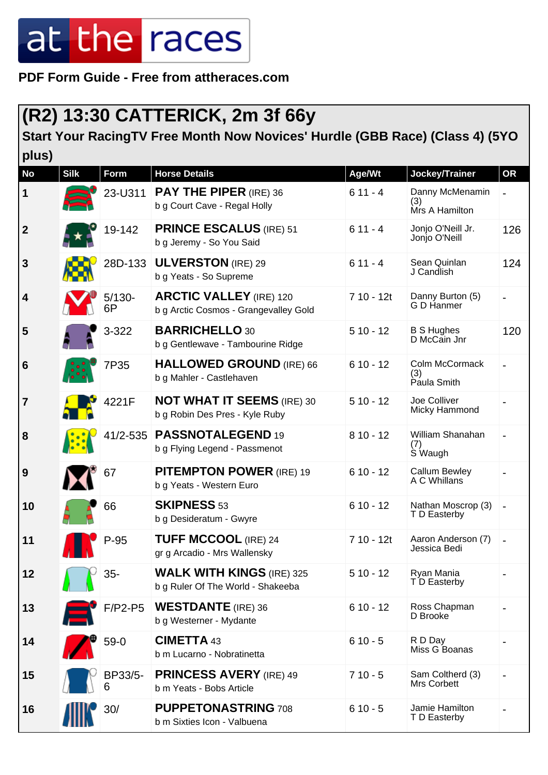**PDF Form Guide - Free from attheraces.com**

#### **(R2) 13:30 CATTERICK, 2m 3f 66y**

**Start Your RacingTV Free Month Now Novices' Hurdle (GBB Race) (Class 4) (5YO plus)**

| <b>No</b>        | <b>Silk</b> | <b>Form</b>     | <b>Horse Details</b>                                                    | Age/Wt     | Jockey/Trainer                           | <b>OR</b>                    |
|------------------|-------------|-----------------|-------------------------------------------------------------------------|------------|------------------------------------------|------------------------------|
| $\mathbf 1$      |             | 23-U311         | <b>PAY THE PIPER (IRE) 36</b><br>b g Court Cave - Regal Holly           | $611 - 4$  | Danny McMenamin<br>(3)<br>Mrs A Hamilton | $\overline{a}$               |
| $\boldsymbol{2}$ |             | 19-142          | <b>PRINCE ESCALUS (IRE) 51</b><br>b g Jeremy - So You Said              | $611 - 4$  | Jonjo O'Neill Jr.<br>Jonjo O'Neill       | 126                          |
| $\mathbf{3}$     |             | 28D-133         | <b>ULVERSTON</b> (IRE) 29<br>b g Yeats - So Supreme                     | $611 - 4$  | Sean Quinlan<br>J Candlish               | 124                          |
| 4                |             | $5/130 -$<br>6P | <b>ARCTIC VALLEY (IRE) 120</b><br>b g Arctic Cosmos - Grangevalley Gold | 7 10 - 12t | Danny Burton (5)<br>G D Hanmer           | $\overline{\phantom{0}}$     |
| 5                |             | 3-322           | <b>BARRICHELLO 30</b><br>b g Gentlewave - Tambourine Ridge              | $510 - 12$ | <b>B S Hughes</b><br>D McCain Jnr        | 120                          |
| $6\phantom{1}6$  |             | 7P35            | <b>HALLOWED GROUND (IRE) 66</b><br>b g Mahler - Castlehaven             | $610 - 12$ | Colm McCormack<br>(3)<br>Paula Smith     | $\qquad \qquad \blacksquare$ |
| $\overline{7}$   |             | 4221F           | <b>NOT WHAT IT SEEMS (IRE) 30</b><br>b g Robin Des Pres - Kyle Ruby     | $510 - 12$ | Joe Colliver<br>Micky Hammond            |                              |
| 8                |             | 41/2-535        | PASSNOTALEGEND 19<br>b g Flying Legend - Passmenot                      | $810 - 12$ | William Shanahan<br>(7)<br>S Waugh       | $\overline{\phantom{0}}$     |
| 9                |             | 67              | <b>PITEMPTON POWER (IRE) 19</b><br>b g Yeats - Western Euro             | $610 - 12$ | Callum Bewley<br>A C Whillans            |                              |
| 10               |             | 66              | <b>SKIPNESS 53</b><br>b g Desideratum - Gwyre                           | $610 - 12$ | Nathan Moscrop (3)<br>T D Easterby       |                              |
| 11               |             | $P-95$          | <b>TUFF MCCOOL (IRE) 24</b><br>gr g Arcadio - Mrs Wallensky             | 7 10 - 12t | Aaron Anderson (7)<br>Jessica Bedi       | $\qquad \qquad \blacksquare$ |
| 12               |             | $35-$           | <b>WALK WITH KINGS (IRE) 325</b><br>b g Ruler Of The World - Shakeeba   | $510 - 12$ | Ryan Mania<br>T D Easterby               |                              |
| 13               |             | $F/P2-P5$       | <b>WESTDANTE</b> (IRE) 36<br>b g Westerner - Mydante                    | $610 - 12$ | Ross Chapman<br>D Brooke                 |                              |
| 14               |             | $59-0$          | <b>CIMETTA 43</b><br>b m Lucarno - Nobratinetta                         | $610 - 5$  | R D Day<br>Miss G Boanas                 |                              |
| 15               |             | BP33/5-<br>6    | <b>PRINCESS AVERY (IRE) 49</b><br>b m Yeats - Bobs Article              | $710 - 5$  | Sam Coltherd (3)<br>Mrs Corbett          |                              |
| 16               |             | 30/             | <b>PUPPETONASTRING 708</b><br>b m Sixties Icon - Valbuena               | $610 - 5$  | Jamie Hamilton<br>T D Easterby           |                              |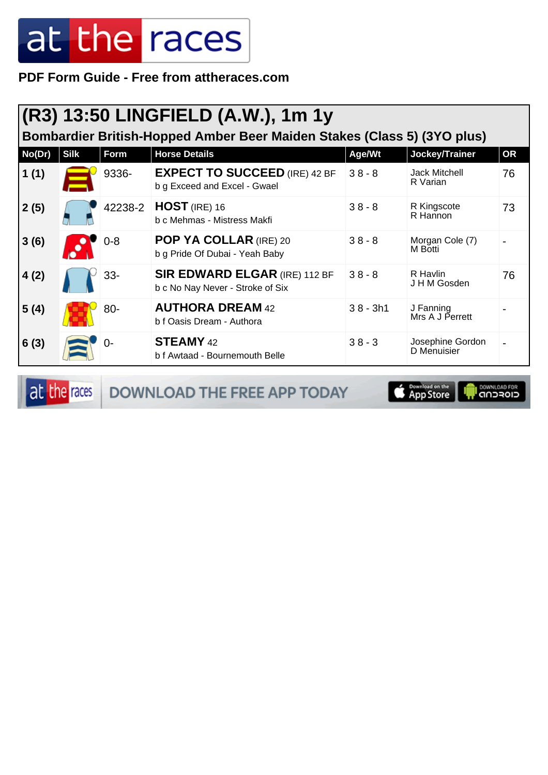**PDF Form Guide - Free from attheraces.com**

|        | (R3) 13:50 LINGFIELD (A.W.), 1m 1y<br>Bombardier British-Hopped Amber Beer Maiden Stakes (Class 5) (3YO plus) |         |                                                                          |            |                                  |           |  |  |
|--------|---------------------------------------------------------------------------------------------------------------|---------|--------------------------------------------------------------------------|------------|----------------------------------|-----------|--|--|
| No(Dr) | <b>Silk</b>                                                                                                   | Form    | <b>Horse Details</b>                                                     | Age/Wt     | Jockey/Trainer                   | <b>OR</b> |  |  |
| 1(1)   |                                                                                                               | 9336-   | <b>EXPECT TO SUCCEED (IRE) 42 BF</b><br>b g Exceed and Excel - Gwael     | $38 - 8$   | <b>Jack Mitchell</b><br>R Varian | 76        |  |  |
| 2(5)   |                                                                                                               | 42238-2 | HOST (IRE) 16<br>b c Mehmas - Mistress Makfi                             | $38 - 8$   | R Kingscote<br>R Hannon          | 73        |  |  |
| 3(6)   |                                                                                                               | $0 - 8$ | POP YA COLLAR (IRE) 20<br>b g Pride Of Dubai - Yeah Baby                 | $38 - 8$   | Morgan Cole (7)<br>M Botti       |           |  |  |
| 4(2)   |                                                                                                               | $33 -$  | <b>SIR EDWARD ELGAR (IRE) 112 BF</b><br>b c No Nay Never - Stroke of Six | $38 - 8$   | R Havlin<br>J H M Gosden         | 76        |  |  |
| 5(4)   |                                                                                                               | 80-     | <b>AUTHORA DREAM 42</b><br>b f Oasis Dream - Authora                     | $38 - 3h1$ | J Fanning<br>Mrs A J Perrett     |           |  |  |
| 6(3)   |                                                                                                               | $0-$    | <b>STEAMY</b> 42<br>b f Awtaad - Bournemouth Belle                       | $38 - 3$   | Josephine Gordon<br>D Menuisier  |           |  |  |

at the races DOWNLOAD THE FREE APP TODAY

App Store **I** DOWNLOAD FOR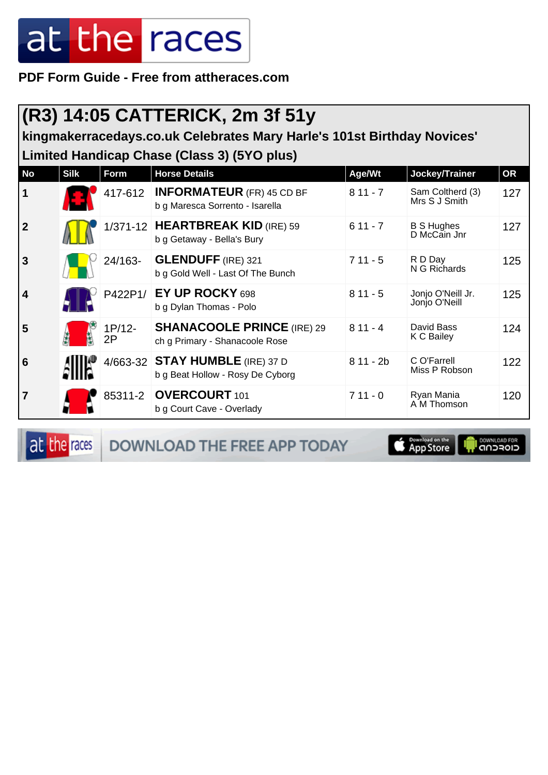**PDF Form Guide - Free from attheraces.com**

#### **(R3) 14:05 CATTERICK, 2m 3f 51y**

**kingmakerracedays.co.uk Celebrates Mary Harle's 101st Birthday Novices' Limited Handicap Chase (Class 3) (5YO plus)**

| <b>No</b>               | <b>Silk</b> | Form         | <b>Horse Details</b>                                                | Age/Wt     | Jockey/Trainer                     | <b>OR</b> |
|-------------------------|-------------|--------------|---------------------------------------------------------------------|------------|------------------------------------|-----------|
| $\mathbf 1$             |             | 417-612      | <b>INFORMATEUR</b> (FR) 45 CD BF<br>b g Maresca Sorrento - Isarella | $811 - 7$  | Sam Coltherd (3)<br>Mrs S J Smith  | 127       |
| $\overline{2}$          |             |              | 1/371-12 HEARTBREAK KID (IRE) 59<br>b g Getaway - Bella's Bury      | $611 - 7$  | <b>B S Hughes</b><br>D McCain Jnr  | 127       |
| $\overline{3}$          |             | 24/163-      | <b>GLENDUFF (IRE) 321</b><br>b g Gold Well - Last Of The Bunch      | $711 - 5$  | R D Day<br>N G Richards            | 125       |
| $\overline{\mathbf{4}}$ |             | P422P1/      | EY UP ROCKY 698<br>b g Dylan Thomas - Polo                          | $811 - 5$  | Jonjo O'Neill Jr.<br>Jonjo O'Neill | 125       |
| 5                       |             | 1P/12-<br>2P | <b>SHANACOOLE PRINCE (IRE) 29</b><br>ch g Primary - Shanacoole Rose | $811 - 4$  | David Bass<br>K C Bailey           | 124       |
| $6\phantom{1}6$         |             |              | 4/663-32 STAY HUMBLE (IRE) 37 D<br>b g Beat Hollow - Rosy De Cyborg | $811 - 2b$ | C O'Farrell<br>Miss P Robson       | 122       |
| $\overline{7}$          |             | 85311-2      | <b>OVERCOURT</b> 101<br>b g Court Cave - Overlady                   | $711 - 0$  | Ryan Mania<br>A M Thomson          | 120       |

at the races DOWNLOAD THE FREE APP TODAY **Exampled on the** 

**DOWNLOAD FOR**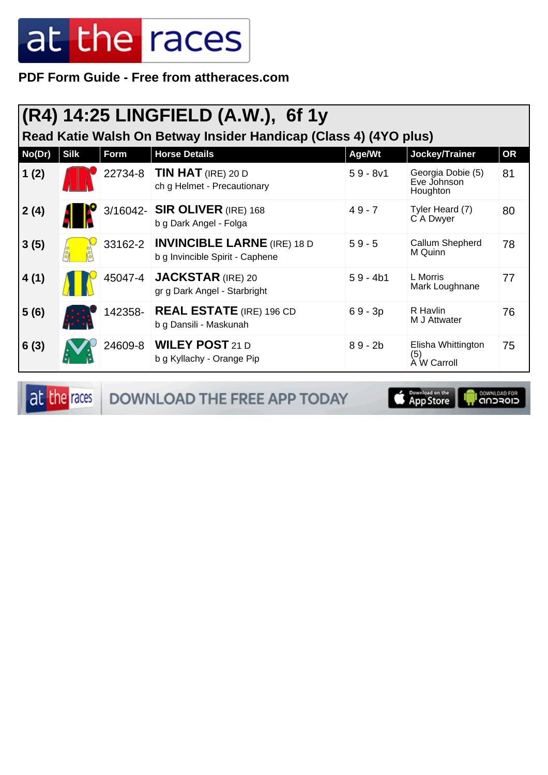**PDF Form Guide - Free from attheraces.com**

|        | (R4) 14:25 LINGFIELD (A.W.), 6f 1y<br>Read Katie Walsh On Betway Insider Handicap (Class 4) (4YO plus) |         |                                                                               |            |                                              |           |  |  |
|--------|--------------------------------------------------------------------------------------------------------|---------|-------------------------------------------------------------------------------|------------|----------------------------------------------|-----------|--|--|
| No(Dr) | <b>Silk</b>                                                                                            | Form    | <b>Horse Details</b>                                                          | Age/Wt     | Jockey/Trainer                               | <b>OR</b> |  |  |
| 1(2)   |                                                                                                        | 22734-8 | <b>TIN HAT</b> (IRE) 20 D<br>ch g Helmet - Precautionary                      | $59 - 8v1$ | Georgia Dobie (5)<br>Eve Johnson<br>Houghton | 81        |  |  |
| 2(4)   |                                                                                                        |         | 3/16042- SIR OLIVER (IRE) 168<br>b g Dark Angel - Folga                       | $49 - 7$   | Tyler Heard (7)<br>C A Dwyer                 | 80        |  |  |
| 3(5)   |                                                                                                        |         | 33162-2 <b>INVINCIBLE LARNE</b> (IRE) 18 D<br>b g Invincible Spirit - Caphene | $59 - 5$   | Callum Shepherd<br>M Quinn                   | 78        |  |  |
| 4(1)   |                                                                                                        | 45047-4 | <b>JACKSTAR (IRE) 20</b><br>gr g Dark Angel - Starbright                      | $59 - 4b1$ | L Morris<br>Mark Loughnane                   | 77        |  |  |
| 5(6)   |                                                                                                        | 142358- | <b>REAL ESTATE</b> (IRE) 196 CD<br>b g Dansili - Maskunah                     | $69 - 3p$  | R Havlin<br>M J Attwater                     | 76        |  |  |
| 6(3)   |                                                                                                        |         | 24609-8   WILEY POST 21 D<br>b g Kyllachy - Orange Pip                        | $89 - 2b$  | Elisha Whittington<br>(5)<br>A W Carroll     | 75        |  |  |

at the races DOWNLOAD THE FREE APP TODAY

il <sup>DOWNLOAD FOR</sup><br>CIOFCND App Store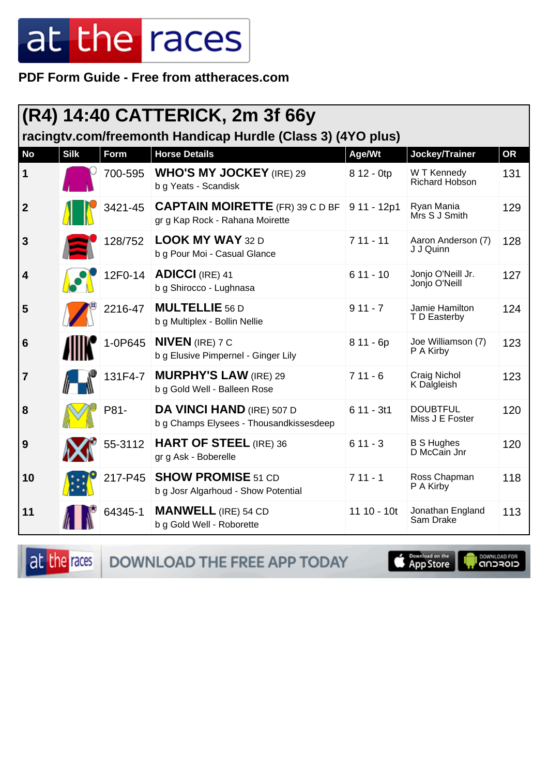PDF Form Guide - Free from attheraces.com

|                         |                                                             |             | (R4) 14:40 CATTERICK, 2m 3f 66y                                             |               |                                    |           |  |  |
|-------------------------|-------------------------------------------------------------|-------------|-----------------------------------------------------------------------------|---------------|------------------------------------|-----------|--|--|
|                         | racingty.com/freemonth Handicap Hurdle (Class 3) (4YO plus) |             |                                                                             |               |                                    |           |  |  |
| <b>No</b>               | <b>Silk</b>                                                 | <b>Form</b> | <b>Horse Details</b>                                                        | Age/Wt        | Jockey/Trainer                     | <b>OR</b> |  |  |
| $\mathbf 1$             |                                                             | 700-595     | <b>WHO'S MY JOCKEY (IRE) 29</b><br>b g Yeats - Scandisk                     | 8 12 - 0tp    | W T Kennedy<br>Richard Hobson      | 131       |  |  |
| $\boldsymbol{2}$        |                                                             | 3421-45     | <b>CAPTAIN MOIRETTE</b> (FR) 39 C D BF<br>gr g Kap Rock - Rahana Moirette   | $911 - 12p1$  | Ryan Mania<br>Mrs S J Smith        | 129       |  |  |
| $\mathbf{3}$            |                                                             | 128/752     | <b>LOOK MY WAY 32 D</b><br>b g Pour Moi - Casual Glance                     | $711 - 11$    | Aaron Anderson (7)<br>J J Quinn    | 128       |  |  |
| $\overline{\mathbf{4}}$ |                                                             | 12F0-14     | <b>ADICCI (IRE) 41</b><br>b g Shirocco - Lughnasa                           | $611 - 10$    | Jonjo O'Neill Jr.<br>Jonjo O'Neill | 127       |  |  |
| 5                       |                                                             | 2216-47     | <b>MULTELLIE 56 D</b><br>b g Multiplex - Bollin Nellie                      | $911 - 7$     | Jamie Hamilton<br>T D Easterby     | 124       |  |  |
| $6\phantom{1}6$         |                                                             | 1-0P645     | <b>NIVEN</b> (IRE) 7 C<br>b g Elusive Pimpernel - Ginger Lily               | $811 - 6p$    | Joe Williamson (7)<br>P A Kirby    | 123       |  |  |
| $\overline{7}$          |                                                             | 131F4-7     | <b>MURPHY'S LAW (IRE) 29</b><br>b g Gold Well - Balleen Rose                | $711 - 6$     | Craig Nichol<br>K Dalgleish        | 123       |  |  |
| 8                       |                                                             | P81-        | <b>DA VINCI HAND (IRE) 507 D</b><br>b g Champs Elysees - Thousandkissesdeep | $611 - 3t1$   | <b>DOUBTFUL</b><br>Miss J E Foster | 120       |  |  |
| 9                       |                                                             | 55-3112     | <b>HART OF STEEL (IRE) 36</b><br>gr g Ask - Boberelle                       | $611 - 3$     | <b>B S Hughes</b><br>D McCain Jnr  | 120       |  |  |
| 10                      |                                                             | 217-P45     | <b>SHOW PROMISE 51 CD</b><br>b g Josr Algarhoud - Show Potential            | $711 - 1$     | Ross Chapman<br>P A Kirby          | 118       |  |  |
| 11                      |                                                             | 64345-1     | <b>MANWELL</b> (IRE) 54 CD<br>b g Gold Well - Roborette                     | $11 10 - 10t$ | Jonathan England<br>Sam Drake      | 113       |  |  |

at the races

DOWNLOAD THE FREE APP TODAY

**S Commissed** on the

**I DOWNLOAD FOR**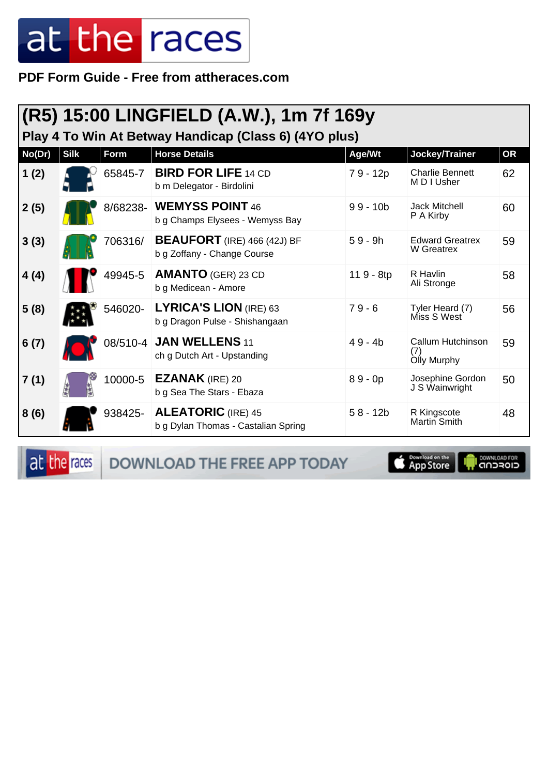PDF Form Guide - Free from attheraces.com

|        |             |          | (R5) 15:00 LINGFIELD (A.W.), 1m 7f 169y                           |            |                                         |           |
|--------|-------------|----------|-------------------------------------------------------------------|------------|-----------------------------------------|-----------|
|        |             |          | Play 4 To Win At Betway Handicap (Class 6) (4YO plus)             |            |                                         |           |
| No(Dr) | <b>Silk</b> | Form     | <b>Horse Details</b>                                              | Age/Wt     | Jockey/Trainer                          | <b>OR</b> |
| 1(2)   |             | 65845-7  | <b>BIRD FOR LIFE 14 CD</b><br>b m Delegator - Birdolini           | 79 - 12p   | <b>Charlie Bennett</b><br>M D I Usher   | 62        |
| 2(5)   |             | 8/68238- | <b>WEMYSS POINT 46</b><br>b g Champs Elysees - Wemyss Bay         | $99 - 10b$ | <b>Jack Mitchell</b><br>P A Kirby       | 60        |
| 3(3)   |             | 706316/  | <b>BEAUFORT</b> (IRE) 466 (42J) BF<br>b g Zoffany - Change Course | $59 - 9h$  | <b>Edward Greatrex</b><br>W Greatrex    | 59        |
| 4(4)   |             | 49945-5  | <b>AMANTO</b> (GER) 23 CD<br>b g Medicean - Amore                 | 119 - 8tp  | R Havlin<br>Ali Stronge                 | 58        |
| 5(8)   |             | 546020-  | LYRICA'S LION (IRE) 63<br>b g Dragon Pulse - Shishangaan          | $79 - 6$   | Tyler Heard (7)<br>Miss S West          | 56        |
| 6(7)   |             | 08/510-4 | <b>JAN WELLENS 11</b><br>ch g Dutch Art - Upstanding              | $49 - 4b$  | Callum Hutchinson<br>(7)<br>Olly Murphy | 59        |
| 7(1)   |             | 10000-5  | <b>EZANAK</b> (IRE) 20<br>b g Sea The Stars - Ebaza               | $89 - 0p$  | Josephine Gordon<br>J S Wainwright      | 50        |
| 8(6)   |             |          | 938425- ALEATORIC (IRE) 45<br>b g Dylan Thomas - Castalian Spring | $58 - 12b$ | R Kingscote<br>Martin Smith             | 48        |

at the races

DOWNLOAD THE FREE APP TODAY

**Example of the App Store** 

**I DOWNLOAD FOR**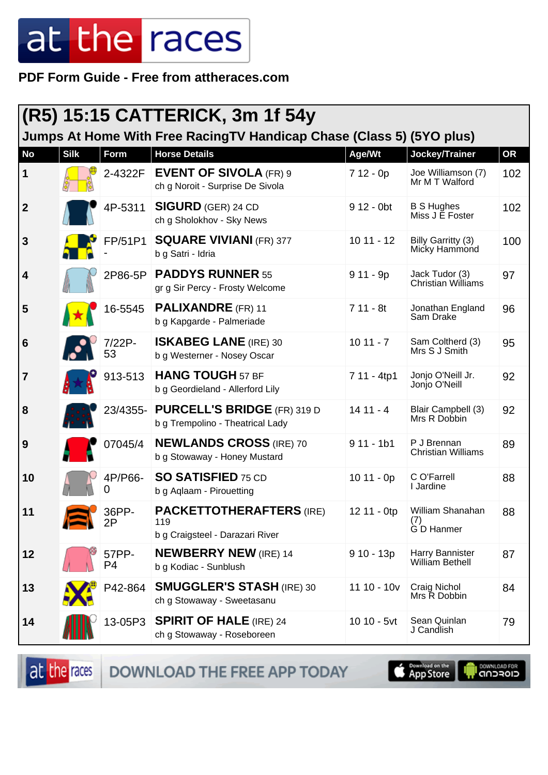**PDF Form Guide - Free from attheraces.com**

|                  |             |                         | (R5) 15:15 CATTERICK, 3m 1f 54y                                           |               |                                             |           |
|------------------|-------------|-------------------------|---------------------------------------------------------------------------|---------------|---------------------------------------------|-----------|
|                  |             |                         | Jumps At Home With Free RacingTV Handicap Chase (Class 5) (5YO plus)      |               |                                             |           |
| <b>No</b>        | <b>Silk</b> | Form                    | <b>Horse Details</b>                                                      | Age/Wt        | Jockey/Trainer                              | <b>OR</b> |
| $\mathbf 1$      |             | 2-4322F                 | <b>EVENT OF SIVOLA (FR) 9</b><br>ch g Noroit - Surprise De Sivola         | $712 - 0p$    | Joe Williamson (7)<br>Mr M T Walford        | 102       |
| $\boldsymbol{2}$ |             | 4P-5311                 | <b>SIGURD</b> (GER) 24 CD<br>ch g Sholokhov - Sky News                    | 9 12 - 0bt    | <b>B S Hughes</b><br>Miss J E Foster        | 102       |
| $\mathbf{3}$     |             | FP/51P1                 | <b>SQUARE VIVIANI (FR) 377</b><br>b g Satri - Idria                       | $1011 - 12$   | Billy Garritty (3)<br>Micky Hammond         | 100       |
| 4                |             |                         | 2P86-5P PADDYS RUNNER 55<br>gr g Sir Percy - Frosty Welcome               | $911 - 9p$    | Jack Tudor (3)<br><b>Christian Williams</b> | 97        |
| 5                |             | 16-5545                 | <b>PALIXANDRE</b> (FR) 11<br>b g Kapgarde - Palmeriade                    | $711 - 8t$    | Jonathan England<br>Sam Drake               | 96        |
| 6                |             | 7/22P-<br>53            | <b>ISKABEG LANE</b> (IRE) 30<br>b g Westerner - Nosey Oscar               | $1011 - 7$    | Sam Coltherd (3)<br>Mrs S J Smith           | 95        |
| $\overline{7}$   |             | 913-513                 | <b>HANG TOUGH 57 BF</b><br>b g Geordieland - Allerford Lily               | 7 11 - 4tp1   | Jonjo O'Neill Jr.<br>Jonjo O'Neill          | 92        |
| 8                |             |                         | 23/4355- PURCELL'S BRIDGE (FR) 319 D<br>b g Trempolino - Theatrical Lady  | $1411 - 4$    | Blair Campbell (3)<br>Mrs R Dobbin          | 92        |
| 9                |             | 07045/4                 | <b>NEWLANDS CROSS (IRE) 70</b><br>b g Stowaway - Honey Mustard            | $911 - 1b1$   | P J Brennan<br><b>Christian Williams</b>    | 89        |
| 10               |             | 4P/P66-                 | <b>SO SATISFIED 75 CD</b><br>b g Aqlaam - Pirouetting                     | $1011 - 0p$   | C O'Farrell<br>I Jardine                    | 88        |
| 11               |             | 36PP-<br>2P             | <b>PACKETTOTHERAFTERS (IRE)</b><br>119<br>b g Craigsteel - Darazari River | 12 11 - 0tp   | William Shanahan<br>(7)<br>G D Hanmer       | 88        |
| 12               |             | 57PP-<br>P <sub>4</sub> | <b>NEWBERRY NEW</b> (IRE) 14<br>b g Kodiac - Sunblush                     | $910 - 13p$   | Harry Bannister<br><b>William Bethell</b>   | 87        |
| 13               |             | P42-864                 | <b>SMUGGLER'S STASH (IRE) 30</b><br>ch g Stowaway - Sweetasanu            | $11 10 - 10v$ | Craig Nichol<br>Mrs R Dobbin                | 84        |
| 14               |             | 13-05P3                 | <b>SPIRIT OF HALE (IRE) 24</b><br>ch g Stowaway - Roseboreen              | 10 10 - 5vt   | Sean Quinlan<br>J Candlish                  | 79        |

at the races DOWNLOAD THE FREE APP TODAY

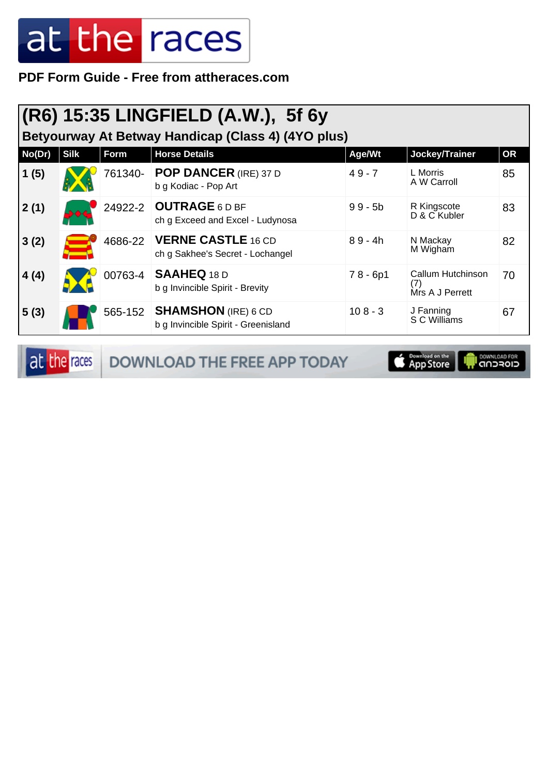**PDF Form Guide - Free from attheraces.com**

| $ {\sf (R6)}$ 15:35 LINGFIELD (A.W.), 5f 6y<br>Betyourway At Betway Handicap (Class 4) (4YO plus) |             |         |                                                                   |            |                                             |    |  |
|---------------------------------------------------------------------------------------------------|-------------|---------|-------------------------------------------------------------------|------------|---------------------------------------------|----|--|
| No(Dr)                                                                                            | <b>Silk</b> | Form    | <b>Horse Details</b>                                              | Age/Wt     | Jockey/Trainer                              | OR |  |
| 1(5)                                                                                              |             | 761340- | <b>POP DANCER (IRE) 37 D</b><br>b g Kodiac - Pop Art              | $49 - 7$   | L Morris<br>A W Carroll                     | 85 |  |
| 2(1)                                                                                              |             | 24922-2 | <b>OUTRAGE 6D BF</b><br>ch g Exceed and Excel - Ludynosa          | $99 - 5b$  | R Kingscote<br>D & C Kubler                 | 83 |  |
| 3(2)                                                                                              |             | 4686-22 | <b>VERNE CASTLE 16 CD</b><br>ch g Sakhee's Secret - Lochangel     | $89 - 4h$  | N Mackay<br>M Wigham                        | 82 |  |
| 4(4)                                                                                              |             | 00763-4 | <b>SAAHEQ 18 D</b><br>b g Invincible Spirit - Brevity             | $78 - 6p1$ | Callum Hutchinson<br>(7)<br>Mrs A J Perrett | 70 |  |
| 5(3)                                                                                              |             | 565-152 | <b>SHAMSHON</b> (IRE) 6 CD<br>b g Invincible Spirit - Greenisland | $108 - 3$  | J Fanning<br>S C Williams                   | 67 |  |

at the races DOWNLOAD THE FREE APP TODAY